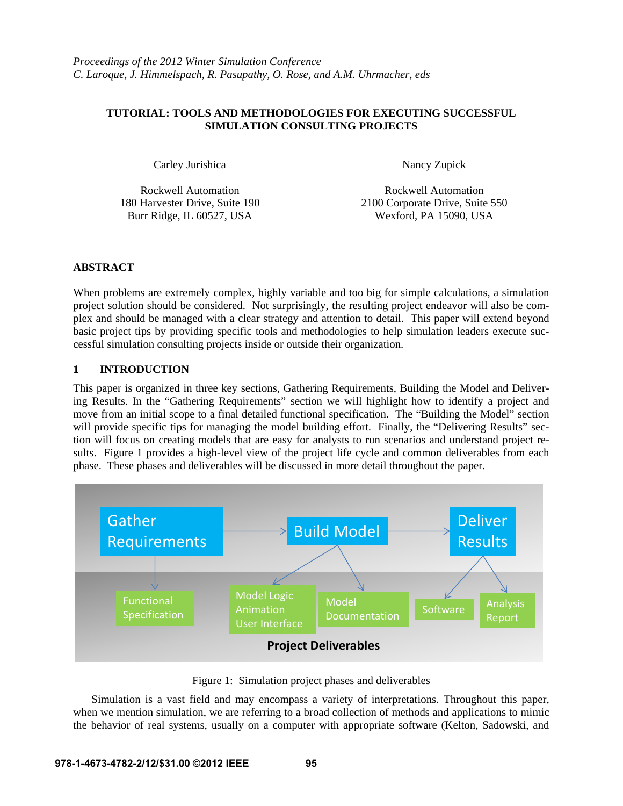## **TUTORIAL: TOOLS AND METHODOLOGIES FOR EXECUTING SUCCESSFUL SIMULATION CONSULTING PROJECTS**

Carley Jurishica Nancy Zupick

Burr Ridge, IL 60527, USA Wexford, PA 15090, USA

Rockwell Automation Rockwell Automation 180 Harvester Drive, Suite 190 2100 Corporate Drive, Suite 550

## **ABSTRACT**

When problems are extremely complex, highly variable and too big for simple calculations, a simulation project solution should be considered. Not surprisingly, the resulting project endeavor will also be complex and should be managed with a clear strategy and attention to detail. This paper will extend beyond basic project tips by providing specific tools and methodologies to help simulation leaders execute successful simulation consulting projects inside or outside their organization.

# **1 INTRODUCTION**

This paper is organized in three key sections, Gathering Requirements, Building the Model and Delivering Results. In the "Gathering Requirements" section we will highlight how to identify a project and move from an initial scope to a final detailed functional specification. The "Building the Model" section will provide specific tips for managing the model building effort. Finally, the "Delivering Results" section will focus on creating models that are easy for analysts to run scenarios and understand project results. Figure 1 provides a high-level view of the project life cycle and common deliverables from each phase. These phases and deliverables will be discussed in more detail throughout the paper.



Figure 1: Simulation project phases and deliverables

Simulation is a vast field and may encompass a variety of interpretations. Throughout this paper, when we mention simulation, we are referring to a broad collection of methods and applications to mimic the behavior of real systems, usually on a computer with appropriate software (Kelton, Sadowski, and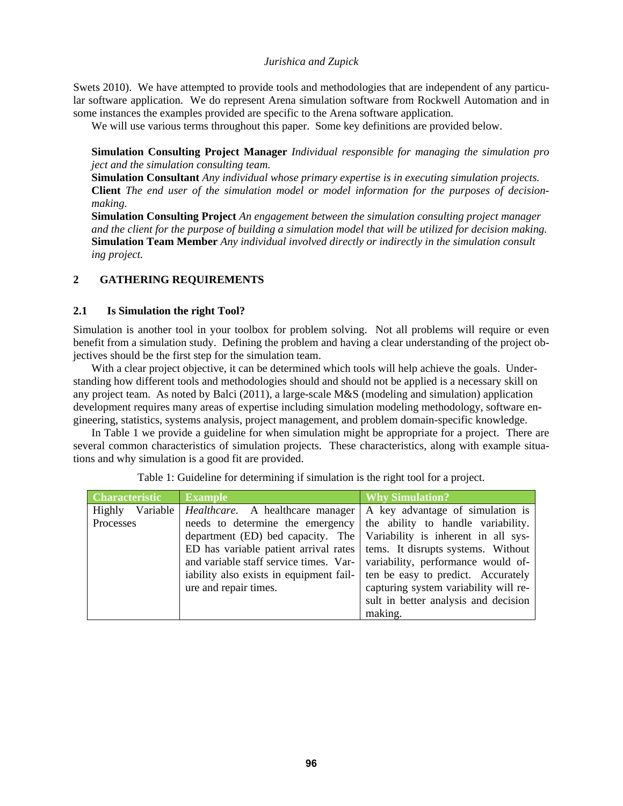Swets 2010). We have attempted to provide tools and methodologies that are independent of any particular software application. We do represent Arena simulation software from Rockwell Automation and in some instances the examples provided are specific to the Arena software application.

We will use various terms throughout this paper. Some key definitions are provided below.

**Simulation Consulting Project Manager** *Individual responsible for managing the simulation pro ject and the simulation consulting team.* 

**Simulation Consultant** *Any individual whose primary expertise is in executing simulation projects.*  **Client** *The end user of the simulation model or model information for the purposes of decision making.* 

**Simulation Consulting Project** *An engagement between the simulation consulting project manager and the client for the purpose of building a simulation model that will be utilized for decision making.*   **Simulation Team Member** *Any individual involved directly or indirectly in the simulation consult ing project.* 

## **2 GATHERING REQUIREMENTS**

#### **2.1 Is Simulation the right Tool?**

Simulation is another tool in your toolbox for problem solving. Not all problems will require or even benefit from a simulation study. Defining the problem and having a clear understanding of the project objectives should be the first step for the simulation team.

With a clear project objective, it can be determined which tools will help achieve the goals. Understanding how different tools and methodologies should and should not be applied is a necessary skill on any project team. As noted by Balci (2011), a large-scale M&S (modeling and simulation) application development requires many areas of expertise including simulation modeling methodology, software engineering, statistics, systems analysis, project management, and problem domain-specific knowledge.

 In Table 1 we provide a guideline for when simulation might be appropriate for a project. There are several common characteristics of simulation projects. These characteristics, along with example situations and why simulation is a good fit are provided.

| <b>Characteristic</b> | <b>Example</b>                                                              | <b>Why Simulation?</b>                |
|-----------------------|-----------------------------------------------------------------------------|---------------------------------------|
| Highly                | Variable   <i>Healthcare</i> . A healthcare manager                         | A key advantage of simulation is      |
| Processes             | needs to determine the emergency                                            | the ability to handle variability.    |
|                       | department (ED) bed capacity. The                                           | Variability is inherent in all sys-   |
|                       | ED has variable patient arrival rates                                       | tems. It disrupts systems. Without    |
|                       | and variable staff service times. Var-   variability, performance would of- |                                       |
|                       | iability also exists in equipment fail-                                     | ten be easy to predict. Accurately    |
|                       | ure and repair times.                                                       | capturing system variability will re- |
|                       |                                                                             | sult in better analysis and decision  |
|                       |                                                                             | making.                               |

Table 1: Guideline for determining if simulation is the right tool for a project.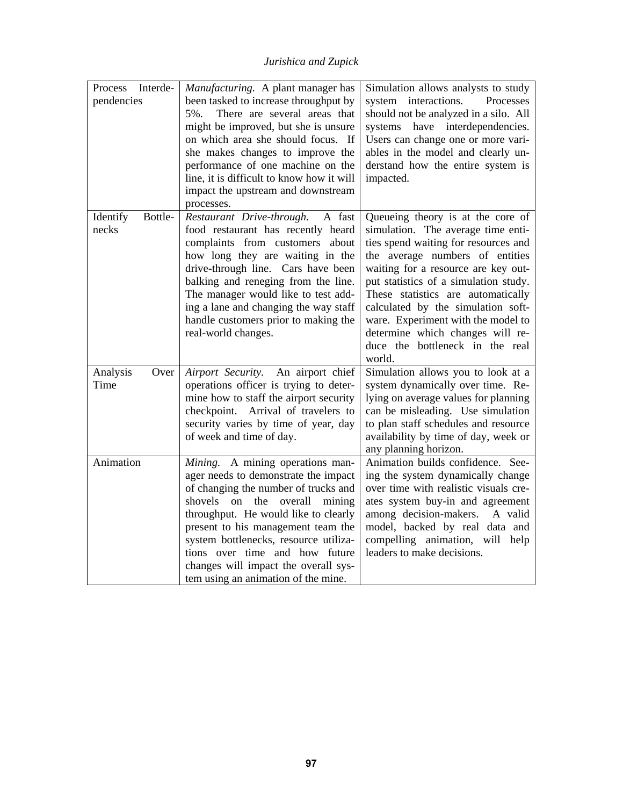| Process Interde-<br>pendencies | Manufacturing. A plant manager has<br>been tasked to increase throughput by<br>There are several areas that<br>5%.<br>might be improved, but she is unsure<br>on which area she should focus. If<br>she makes changes to improve the<br>performance of one machine on the<br>line, it is difficult to know how it will<br>impact the upstream and downstream<br>processes.                         | Simulation allows analysts to study<br>system interactions.<br>Processes<br>should not be analyzed in a silo. All<br>systems have interdependencies.<br>Users can change one or more vari-<br>ables in the model and clearly un-<br>derstand how the entire system is<br>impacted.                                                                                                                                                    |
|--------------------------------|----------------------------------------------------------------------------------------------------------------------------------------------------------------------------------------------------------------------------------------------------------------------------------------------------------------------------------------------------------------------------------------------------|---------------------------------------------------------------------------------------------------------------------------------------------------------------------------------------------------------------------------------------------------------------------------------------------------------------------------------------------------------------------------------------------------------------------------------------|
| Identify<br>Bottle-<br>necks   | Restaurant Drive-through.<br>A fast<br>food restaurant has recently heard<br>complaints from customers about<br>how long they are waiting in the<br>drive-through line. Cars have been<br>balking and reneging from the line.<br>The manager would like to test add-<br>ing a lane and changing the way staff<br>handle customers prior to making the<br>real-world changes.                       | Queueing theory is at the core of<br>simulation. The average time enti-<br>ties spend waiting for resources and<br>the average numbers of entities<br>waiting for a resource are key out-<br>put statistics of a simulation study.<br>These statistics are automatically<br>calculated by the simulation soft-<br>ware. Experiment with the model to<br>determine which changes will re-<br>duce the bottleneck in the real<br>world. |
| Analysis<br>Over<br>Time       | Airport Security. An airport chief<br>operations officer is trying to deter-<br>mine how to staff the airport security<br>checkpoint. Arrival of travelers to<br>security varies by time of year, day<br>of week and time of day.                                                                                                                                                                  | Simulation allows you to look at a<br>system dynamically over time. Re-<br>lying on average values for planning<br>can be misleading. Use simulation<br>to plan staff schedules and resource<br>availability by time of day, week or<br>any planning horizon.                                                                                                                                                                         |
| Animation                      | Mining. A mining operations man-<br>ager needs to demonstrate the impact<br>of changing the number of trucks and<br>shovels on<br>the<br>overall<br>mining<br>throughput. He would like to clearly<br>present to his management team the<br>system bottlenecks, resource utiliza-<br>tions over time and how future<br>changes will impact the overall sys-<br>tem using an animation of the mine. | Animation builds confidence. See-<br>ing the system dynamically change<br>over time with realistic visuals cre-<br>ates system buy-in and agreement<br>among decision-makers. A valid<br>model, backed by real data and<br>compelling animation, will help<br>leaders to make decisions.                                                                                                                                              |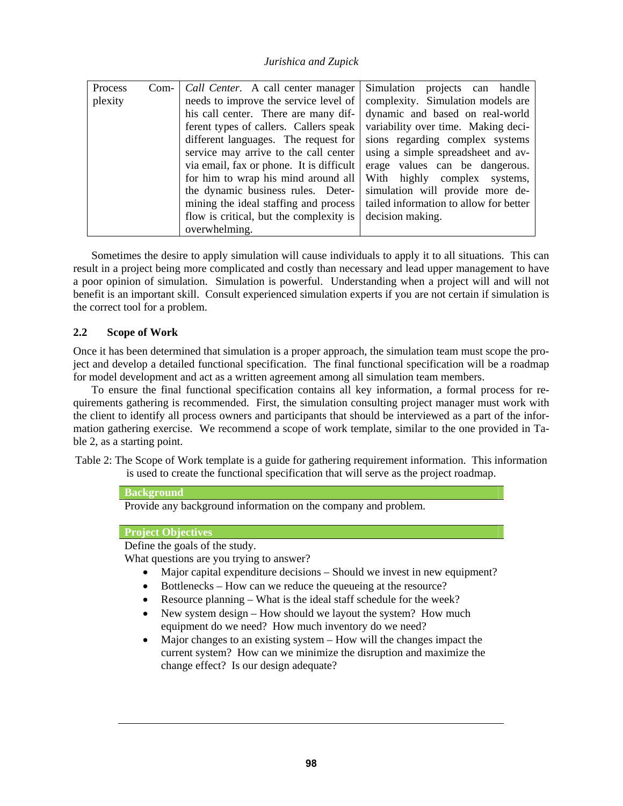| Process | Com- | <i>Call Center.</i> A call center manager | Simulation projects can handle         |  |  |
|---------|------|-------------------------------------------|----------------------------------------|--|--|
| plexity |      | needs to improve the service level of     | complexity. Simulation models are      |  |  |
|         |      | his call center. There are many dif-      | dynamic and based on real-world        |  |  |
|         |      | ferent types of callers. Callers speak    | variability over time. Making deci-    |  |  |
|         |      | different languages. The request for      | sions regarding complex systems        |  |  |
|         |      | service may arrive to the call center     | using a simple spreadsheet and av-     |  |  |
|         |      | via email, fax or phone. It is difficult  | erage values can be dangerous.         |  |  |
|         |      | for him to wrap his mind around all       | With highly complex systems,           |  |  |
|         |      | the dynamic business rules. Deter-        | simulation will provide more de-       |  |  |
|         |      | mining the ideal staffing and process     | tailed information to allow for better |  |  |
|         |      | flow is critical, but the complexity is   | decision making.                       |  |  |
|         |      | overwhelming.                             |                                        |  |  |

 Sometimes the desire to apply simulation will cause individuals to apply it to all situations. This can result in a project being more complicated and costly than necessary and lead upper management to have a poor opinion of simulation. Simulation is powerful. Understanding when a project will and will not benefit is an important skill. Consult experienced simulation experts if you are not certain if simulation is the correct tool for a problem.

### **2.2 Scope of Work**

Once it has been determined that simulation is a proper approach, the simulation team must scope the project and develop a detailed functional specification. The final functional specification will be a roadmap for model development and act as a written agreement among all simulation team members.

 To ensure the final functional specification contains all key information, a formal process for requirements gathering is recommended. First, the simulation consulting project manager must work with the client to identify all process owners and participants that should be interviewed as a part of the information gathering exercise. We recommend a scope of work template, similar to the one provided in Table 2, as a starting point.

Table 2: The Scope of Work template is a guide for gathering requirement information. This information is used to create the functional specification that will serve as the project roadmap.

#### **Background**

Provide any background information on the company and problem.

#### **Project Objectives**

Define the goals of the study.

What questions are you trying to answer?

- Major capital expenditure decisions Should we invest in new equipment?
- Bottlenecks How can we reduce the queueing at the resource?
- Resource planning What is the ideal staff schedule for the week?
- New system design How should we layout the system? How much equipment do we need? How much inventory do we need?
- Major changes to an existing system How will the changes impact the current system? How can we minimize the disruption and maximize the change effect? Is our design adequate?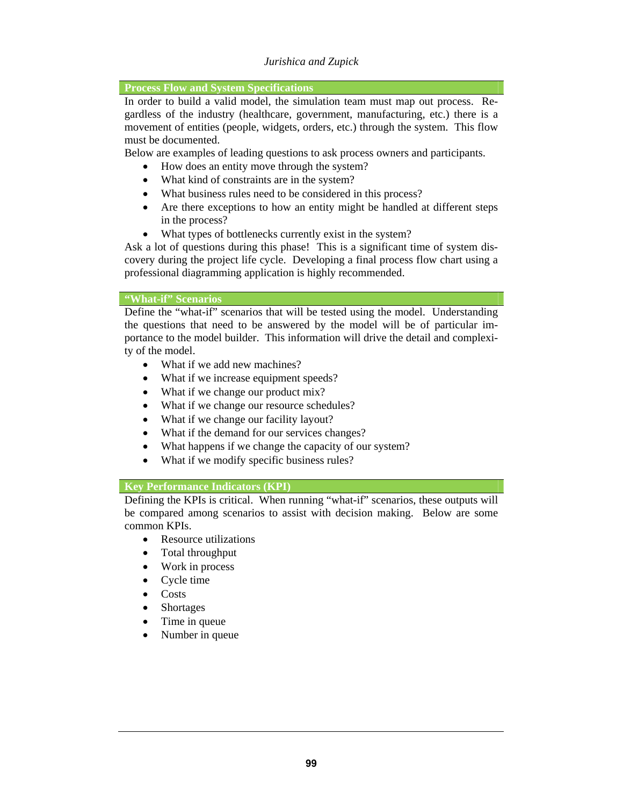### **Process Flow and System Specifications**

In order to build a valid model, the simulation team must map out process. Regardless of the industry (healthcare, government, manufacturing, etc.) there is a movement of entities (people, widgets, orders, etc.) through the system. This flow must be documented.

Below are examples of leading questions to ask process owners and participants.

- How does an entity move through the system?
- What kind of constraints are in the system?
- What business rules need to be considered in this process?
- Are there exceptions to how an entity might be handled at different steps in the process?
- What types of bottlenecks currently exist in the system?

Ask a lot of questions during this phase! This is a significant time of system discovery during the project life cycle. Developing a final process flow chart using a professional diagramming application is highly recommended.

#### **"What-if" Scenarios**

Define the "what-if" scenarios that will be tested using the model. Understanding the questions that need to be answered by the model will be of particular importance to the model builder. This information will drive the detail and complexity of the model.

- What if we add new machines?
- What if we increase equipment speeds?
- What if we change our product mix?
- What if we change our resource schedules?
- What if we change our facility layout?
- What if the demand for our services changes?
- What happens if we change the capacity of our system?
- What if we modify specific business rules?

### **Key Performance Indicators (KPI)**

Defining the KPIs is critical. When running "what-if" scenarios, these outputs will be compared among scenarios to assist with decision making. Below are some common KPIs.

- Resource utilizations
- Total throughput
- Work in process
- Cycle time
- Costs
- Shortages
- Time in queue
- Number in queue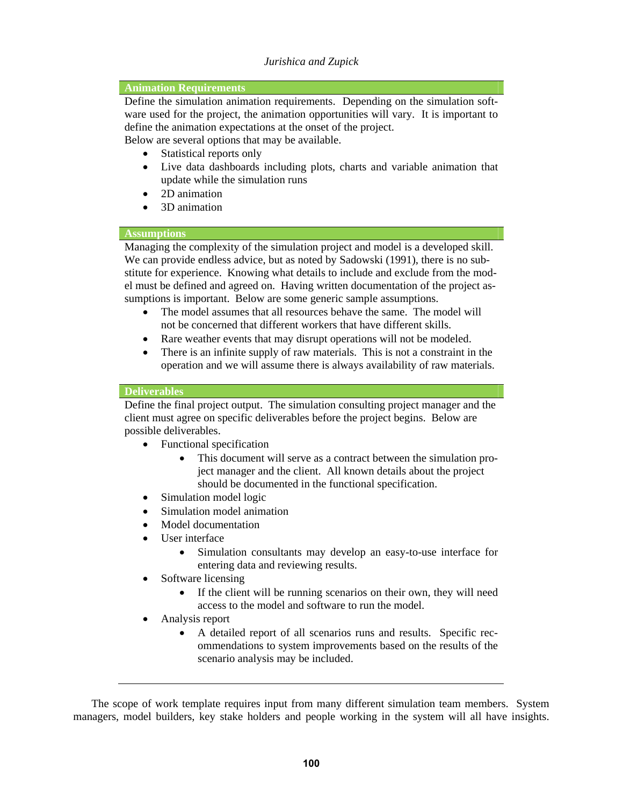### **Animation Requirements**

Define the simulation animation requirements. Depending on the simulation software used for the project, the animation opportunities will vary. It is important to define the animation expectations at the onset of the project.

Below are several options that may be available.

- Statistical reports only
- Live data dashboards including plots, charts and variable animation that update while the simulation runs
- 2D animation
- 3D animation

#### **Assumptions**

Managing the complexity of the simulation project and model is a developed skill. We can provide endless advice, but as noted by Sadowski (1991), there is no substitute for experience. Knowing what details to include and exclude from the model must be defined and agreed on. Having written documentation of the project assumptions is important. Below are some generic sample assumptions.

- The model assumes that all resources behave the same. The model will not be concerned that different workers that have different skills.
- Rare weather events that may disrupt operations will not be modeled.
- There is an infinite supply of raw materials. This is not a constraint in the operation and we will assume there is always availability of raw materials.

#### **Deliverables**

Define the final project output. The simulation consulting project manager and the client must agree on specific deliverables before the project begins. Below are possible deliverables.

- Functional specification
	- This document will serve as a contract between the simulation project manager and the client. All known details about the project should be documented in the functional specification.
- Simulation model logic
- Simulation model animation
- Model documentation
- User interface
	- Simulation consultants may develop an easy-to-use interface for entering data and reviewing results.
- Software licensing
	- If the client will be running scenarios on their own, they will need access to the model and software to run the model.
- Analysis report
	- A detailed report of all scenarios runs and results. Specific recommendations to system improvements based on the results of the scenario analysis may be included.

 The scope of work template requires input from many different simulation team members. System managers, model builders, key stake holders and people working in the system will all have insights.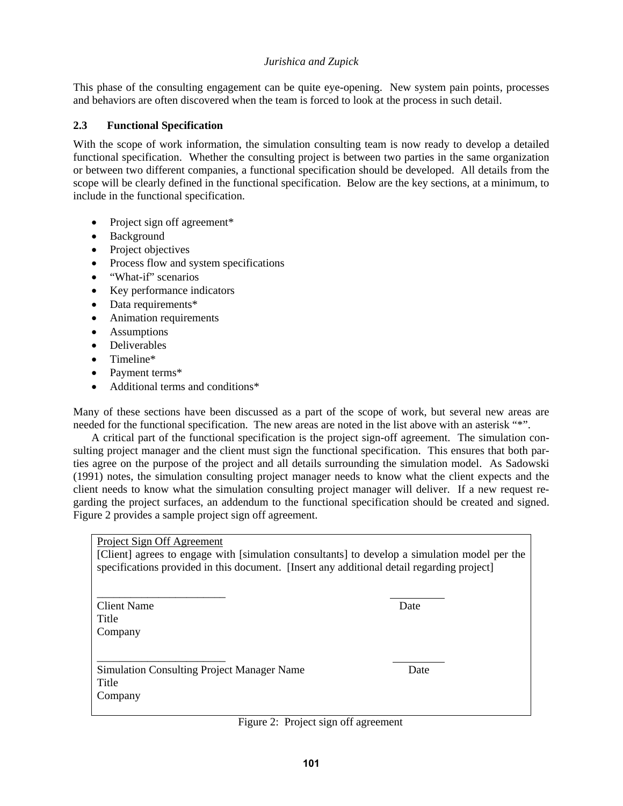This phase of the consulting engagement can be quite eye-opening. New system pain points, processes and behaviors are often discovered when the team is forced to look at the process in such detail.

## **2.3 Functional Specification**

With the scope of work information, the simulation consulting team is now ready to develop a detailed functional specification. Whether the consulting project is between two parties in the same organization or between two different companies, a functional specification should be developed. All details from the scope will be clearly defined in the functional specification. Below are the key sections, at a minimum, to include in the functional specification.

- Project sign off agreement\*
- Background
- Project objectives
- Process flow and system specifications
- "What-if" scenarios
- Key performance indicators
- Data requirements\*
- Animation requirements
- Assumptions
- Deliverables
- Timeline\*
- Payment terms\*
- Additional terms and conditions\*

Many of these sections have been discussed as a part of the scope of work, but several new areas are needed for the functional specification. The new areas are noted in the list above with an asterisk "\*".

A critical part of the functional specification is the project sign-off agreement. The simulation consulting project manager and the client must sign the functional specification. This ensures that both parties agree on the purpose of the project and all details surrounding the simulation model. As Sadowski (1991) notes, the simulation consulting project manager needs to know what the client expects and the client needs to know what the simulation consulting project manager will deliver. If a new request regarding the project surfaces, an addendum to the functional specification should be created and signed. Figure 2 provides a sample project sign off agreement.

| Project Sign Off Agreement                                                                    |      |  |  |  |
|-----------------------------------------------------------------------------------------------|------|--|--|--|
| [Client] agrees to engage with [simulation consultants] to develop a simulation model per the |      |  |  |  |
| specifications provided in this document. [Insert any additional detail regarding project]    |      |  |  |  |
|                                                                                               |      |  |  |  |
|                                                                                               |      |  |  |  |
| Client Name                                                                                   | Date |  |  |  |
| Title                                                                                         |      |  |  |  |
| Company                                                                                       |      |  |  |  |
|                                                                                               |      |  |  |  |
|                                                                                               |      |  |  |  |
| <b>Simulation Consulting Project Manager Name</b>                                             | Date |  |  |  |
| Title                                                                                         |      |  |  |  |
| Company                                                                                       |      |  |  |  |
|                                                                                               |      |  |  |  |

Figure 2: Project sign off agreement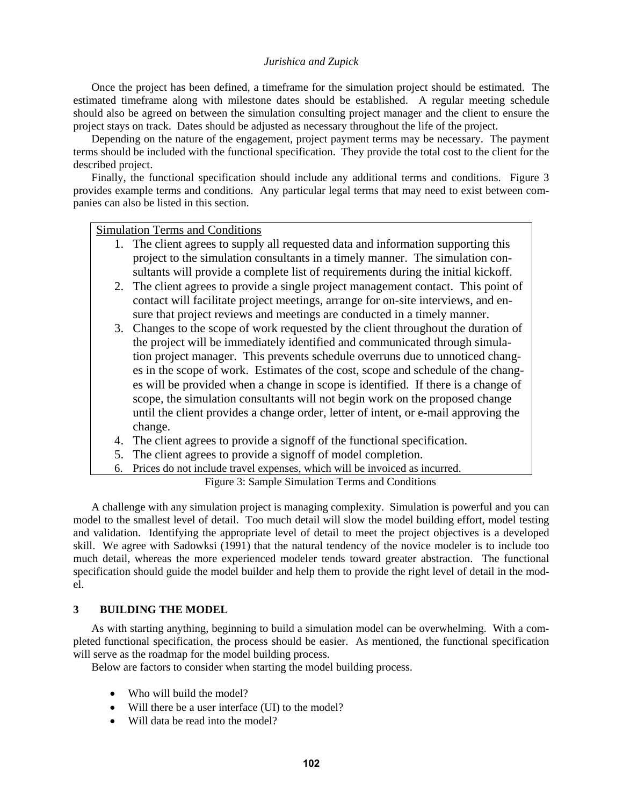Once the project has been defined, a timeframe for the simulation project should be estimated. The estimated timeframe along with milestone dates should be established. A regular meeting schedule should also be agreed on between the simulation consulting project manager and the client to ensure the project stays on track. Dates should be adjusted as necessary throughout the life of the project.

Depending on the nature of the engagement, project payment terms may be necessary. The payment terms should be included with the functional specification. They provide the total cost to the client for the described project.

Finally, the functional specification should include any additional terms and conditions. Figure 3 provides example terms and conditions. Any particular legal terms that may need to exist between companies can also be listed in this section.

### Simulation Terms and Conditions

- 1. The client agrees to supply all requested data and information supporting this project to the simulation consultants in a timely manner. The simulation consultants will provide a complete list of requirements during the initial kickoff.
- 2. The client agrees to provide a single project management contact. This point of contact will facilitate project meetings, arrange for on-site interviews, and ensure that project reviews and meetings are conducted in a timely manner.
- 3. Changes to the scope of work requested by the client throughout the duration of the project will be immediately identified and communicated through simulation project manager. This prevents schedule overruns due to unnoticed changes in the scope of work. Estimates of the cost, scope and schedule of the changes will be provided when a change in scope is identified. If there is a change of scope, the simulation consultants will not begin work on the proposed change until the client provides a change order, letter of intent, or e-mail approving the change.
- 4. The client agrees to provide a signoff of the functional specification.
- 5. The client agrees to provide a signoff of model completion.
- 6. Prices do not include travel expenses, which will be invoiced as incurred.

Figure 3: Sample Simulation Terms and Conditions

A challenge with any simulation project is managing complexity. Simulation is powerful and you can model to the smallest level of detail. Too much detail will slow the model building effort, model testing and validation. Identifying the appropriate level of detail to meet the project objectives is a developed skill. We agree with Sadowksi (1991) that the natural tendency of the novice modeler is to include too much detail, whereas the more experienced modeler tends toward greater abstraction. The functional specification should guide the model builder and help them to provide the right level of detail in the model.

### **3 BUILDING THE MODEL**

As with starting anything, beginning to build a simulation model can be overwhelming. With a completed functional specification, the process should be easier. As mentioned, the functional specification will serve as the roadmap for the model building process.

Below are factors to consider when starting the model building process.

- Who will build the model?
- Will there be a user interface (UI) to the model?
- Will data be read into the model?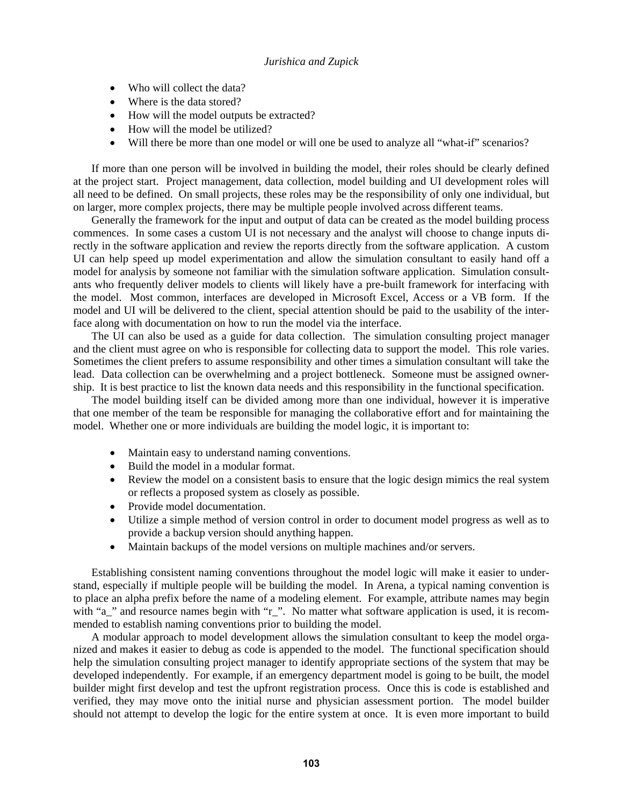- Who will collect the data?
- Where is the data stored?
- How will the model outputs be extracted?
- How will the model be utilized?
- Will there be more than one model or will one be used to analyze all "what-if" scenarios?

If more than one person will be involved in building the model, their roles should be clearly defined at the project start. Project management, data collection, model building and UI development roles will all need to be defined. On small projects, these roles may be the responsibility of only one individual, but on larger, more complex projects, there may be multiple people involved across different teams.

Generally the framework for the input and output of data can be created as the model building process commences. In some cases a custom UI is not necessary and the analyst will choose to change inputs directly in the software application and review the reports directly from the software application. A custom UI can help speed up model experimentation and allow the simulation consultant to easily hand off a model for analysis by someone not familiar with the simulation software application. Simulation consultants who frequently deliver models to clients will likely have a pre-built framework for interfacing with the model. Most common, interfaces are developed in Microsoft Excel, Access or a VB form. If the model and UI will be delivered to the client, special attention should be paid to the usability of the interface along with documentation on how to run the model via the interface.

The UI can also be used as a guide for data collection. The simulation consulting project manager and the client must agree on who is responsible for collecting data to support the model. This role varies. Sometimes the client prefers to assume responsibility and other times a simulation consultant will take the lead. Data collection can be overwhelming and a project bottleneck. Someone must be assigned ownership. It is best practice to list the known data needs and this responsibility in the functional specification.

The model building itself can be divided among more than one individual, however it is imperative that one member of the team be responsible for managing the collaborative effort and for maintaining the model. Whether one or more individuals are building the model logic, it is important to:

- Maintain easy to understand naming conventions.
- Build the model in a modular format.
- Review the model on a consistent basis to ensure that the logic design mimics the real system or reflects a proposed system as closely as possible.
- Provide model documentation.
- Utilize a simple method of version control in order to document model progress as well as to provide a backup version should anything happen.
- Maintain backups of the model versions on multiple machines and/or servers.

Establishing consistent naming conventions throughout the model logic will make it easier to understand, especially if multiple people will be building the model. In Arena, a typical naming convention is to place an alpha prefix before the name of a modeling element. For example, attribute names may begin with "a\_" and resource names begin with "r\_". No matter what software application is used, it is recommended to establish naming conventions prior to building the model.

 A modular approach to model development allows the simulation consultant to keep the model organized and makes it easier to debug as code is appended to the model. The functional specification should help the simulation consulting project manager to identify appropriate sections of the system that may be developed independently. For example, if an emergency department model is going to be built, the model builder might first develop and test the upfront registration process. Once this is code is established and verified, they may move onto the initial nurse and physician assessment portion. The model builder should not attempt to develop the logic for the entire system at once. It is even more important to build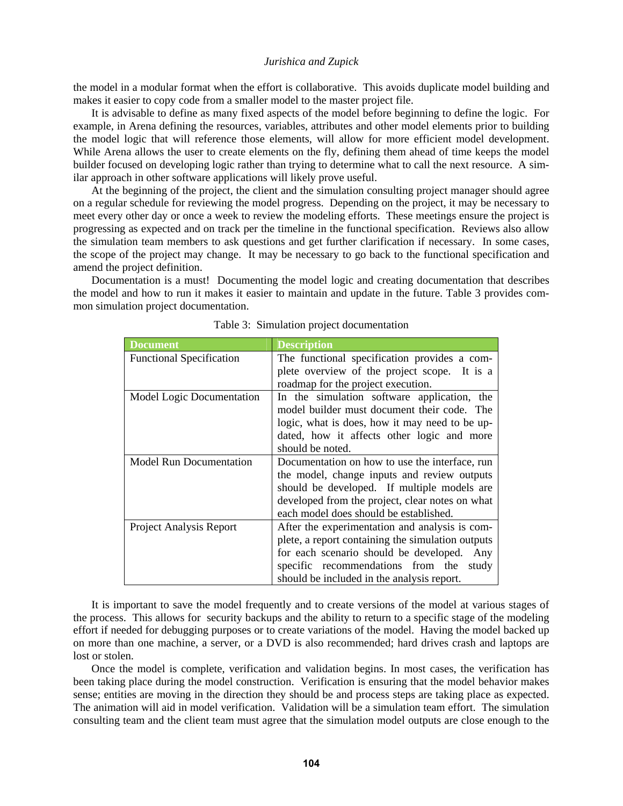the model in a modular format when the effort is collaborative. This avoids duplicate model building and makes it easier to copy code from a smaller model to the master project file.

 It is advisable to define as many fixed aspects of the model before beginning to define the logic. For example, in Arena defining the resources, variables, attributes and other model elements prior to building the model logic that will reference those elements, will allow for more efficient model development. While Arena allows the user to create elements on the fly, defining them ahead of time keeps the model builder focused on developing logic rather than trying to determine what to call the next resource. A similar approach in other software applications will likely prove useful.

At the beginning of the project, the client and the simulation consulting project manager should agree on a regular schedule for reviewing the model progress. Depending on the project, it may be necessary to meet every other day or once a week to review the modeling efforts. These meetings ensure the project is progressing as expected and on track per the timeline in the functional specification. Reviews also allow the simulation team members to ask questions and get further clarification if necessary. In some cases, the scope of the project may change. It may be necessary to go back to the functional specification and amend the project definition.

Documentation is a must! Documenting the model logic and creating documentation that describes the model and how to run it makes it easier to maintain and update in the future. Table 3 provides common simulation project documentation.

| <b>Document</b>                  | <b>Description</b>                                |
|----------------------------------|---------------------------------------------------|
| <b>Functional Specification</b>  | The functional specification provides a com-      |
|                                  | plete overview of the project scope. It is a      |
|                                  | roadmap for the project execution.                |
| <b>Model Logic Documentation</b> | In the simulation software application, the       |
|                                  | model builder must document their code. The       |
|                                  | logic, what is does, how it may need to be up-    |
|                                  | dated, how it affects other logic and more        |
|                                  | should be noted.                                  |
| <b>Model Run Documentation</b>   | Documentation on how to use the interface, run    |
|                                  | the model, change inputs and review outputs       |
|                                  | should be developed. If multiple models are       |
|                                  | developed from the project, clear notes on what   |
|                                  | each model does should be established.            |
| <b>Project Analysis Report</b>   | After the experimentation and analysis is com-    |
|                                  | plete, a report containing the simulation outputs |
|                                  | for each scenario should be developed.<br>Any     |
|                                  | specific recommendations from the<br>study        |
|                                  | should be included in the analysis report.        |

Table 3: Simulation project documentation

It is important to save the model frequently and to create versions of the model at various stages of the process. This allows for security backups and the ability to return to a specific stage of the modeling effort if needed for debugging purposes or to create variations of the model. Having the model backed up on more than one machine, a server, or a DVD is also recommended; hard drives crash and laptops are lost or stolen.

Once the model is complete, verification and validation begins. In most cases, the verification has been taking place during the model construction. Verification is ensuring that the model behavior makes sense; entities are moving in the direction they should be and process steps are taking place as expected. The animation will aid in model verification. Validation will be a simulation team effort. The simulation consulting team and the client team must agree that the simulation model outputs are close enough to the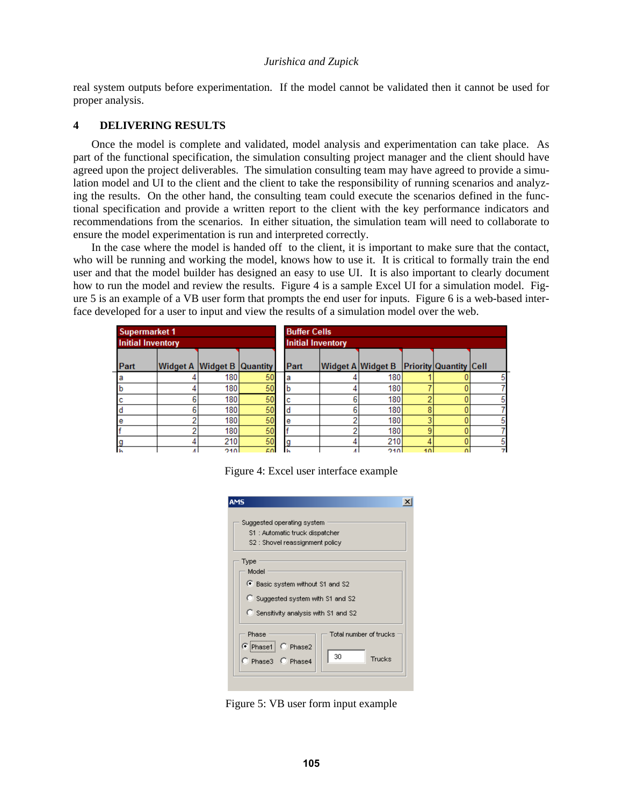real system outputs before experimentation. If the model cannot be validated then it cannot be used for proper analysis.

#### **4 DELIVERING RESULTS**

Once the model is complete and validated, model analysis and experimentation can take place. As part of the functional specification, the simulation consulting project manager and the client should have agreed upon the project deliverables. The simulation consulting team may have agreed to provide a simulation model and UI to the client and the client to take the responsibility of running scenarios and analyzing the results. On the other hand, the consulting team could execute the scenarios defined in the functional specification and provide a written report to the client with the key performance indicators and recommendations from the scenarios. In either situation, the simulation team will need to collaborate to ensure the model experimentation is run and interpreted correctly.

In the case where the model is handed off to the client, it is important to make sure that the contact, who will be running and working the model, knows how to use it. It is critical to formally train the end user and that the model builder has designed an easy to use UI. It is also important to clearly document how to run the model and review the results. Figure 4 is a sample Excel UI for a simulation model. Figure 5 is an example of a VB user form that prompts the end user for inputs. Figure 6 is a web-based interface developed for a user to input and view the results of a simulation model over the web.

| <b>Supermarket 1</b><br><b>Initial Inventory</b> |                                   |     | <b>Buffer Cells</b> | <b>Initial Inventory</b> |                                                |    |  |
|--------------------------------------------------|-----------------------------------|-----|---------------------|--------------------------|------------------------------------------------|----|--|
| Part                                             | <b>Widget A Widget B Quantity</b> |     | Part                |                          | Widget A Widget B   Priority   Quantity   Cell |    |  |
| a                                                | 180                               | 50  | а                   |                          | 180                                            |    |  |
| b                                                | 180                               | 50  | b                   |                          | 180                                            |    |  |
|                                                  | 180                               | 50  | c                   |                          | 180                                            |    |  |
|                                                  | 180                               | 50  |                     |                          | 180                                            | 8  |  |
| е                                                | 180                               | 50  | e                   |                          | 180                                            |    |  |
|                                                  | 180                               | 50  |                     |                          | 180                                            | 9  |  |
|                                                  | 210                               | 50  |                     |                          | 210                                            |    |  |
| ۱ь                                               | 210                               | r٨l |                     |                          | 210                                            | 10 |  |

Figure 4: Excel user interface example

| Suggested operating system                             |  |
|--------------------------------------------------------|--|
| S1: Automatic truck dispatcher                         |  |
| S2: Shovel reassignment policy                         |  |
| Type                                                   |  |
| Model                                                  |  |
| 6 Basic system without S1 and S2                       |  |
| C Suggested system with S1 and S2                      |  |
| C Sensitivity analysis with S1 and S2                  |  |
| Total number of trucks<br>Phase                        |  |
| C Phase1 C Phase2<br>30<br>Trucks<br>C Phase3 C Phase4 |  |
|                                                        |  |

Figure 5: VB user form input example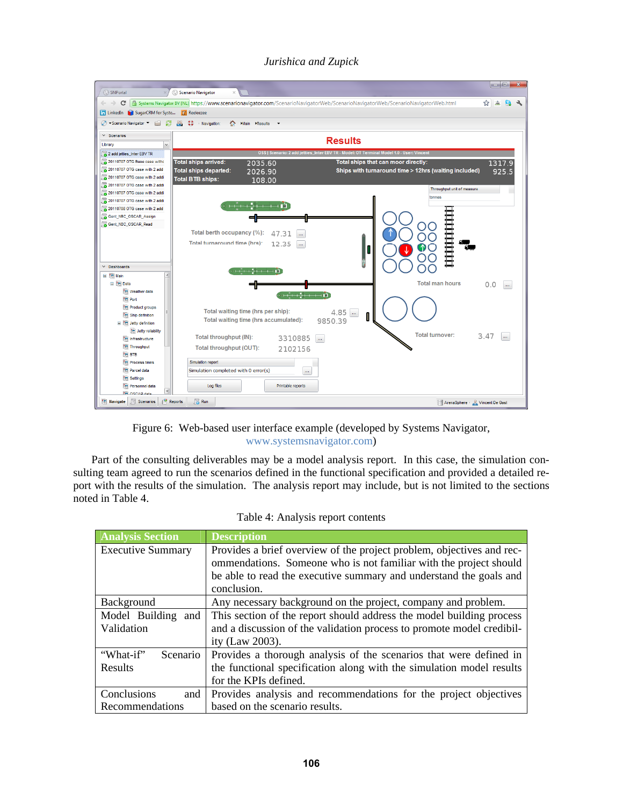

Figure 6: Web-based user interface example (developed by Systems Navigator, www.systemsnavigator.com)

Part of the consulting deliverables may be a model analysis report. In this case, the simulation consulting team agreed to run the scenarios defined in the functional specification and provided a detailed report with the results of the simulation. The analysis report may include, but is not limited to the sections noted in Table 4.

| <b>Analysis Section</b>  | <b>Description</b>                                                    |  |  |  |
|--------------------------|-----------------------------------------------------------------------|--|--|--|
| <b>Executive Summary</b> | Provides a brief overview of the project problem, objectives and rec- |  |  |  |
|                          | ommendations. Someone who is not familiar with the project should     |  |  |  |
|                          | be able to read the executive summary and understand the goals and    |  |  |  |
|                          | conclusion.                                                           |  |  |  |
| Background               | Any necessary background on the project, company and problem.         |  |  |  |
| Model Building and       | This section of the report should address the model building process  |  |  |  |
| Validation               | and a discussion of the validation process to promote model credibil- |  |  |  |
|                          | ity (Law 2003).                                                       |  |  |  |
| "What-if"<br>Scenario    | Provides a thorough analysis of the scenarios that were defined in    |  |  |  |
| <b>Results</b>           | the functional specification along with the simulation model results  |  |  |  |
|                          | for the KPIs defined.                                                 |  |  |  |
| Conclusions<br>and       | Provides analysis and recommendations for the project objectives      |  |  |  |
| Recommendations          | based on the scenario results.                                        |  |  |  |
|                          |                                                                       |  |  |  |